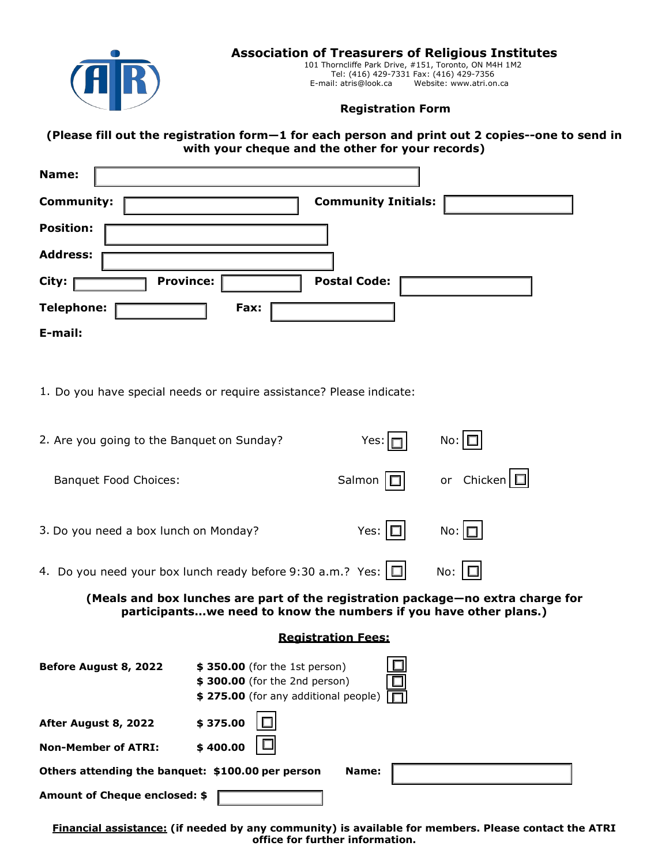

## **Association of Treasurers of Religious Institutes**

101 Thorncliffe Park Drive, #151, Toronto, ON M4H 1M2 Tel: (416) 429-7331 Fax: (416) 429-7356 E-mail: [atris@look.ca](mailto:atris@look.ca) Website: [www.atri.on.ca](http://www.atri.on.ca/)

## **Registration Form**

**(Please fill out the registration form—1 for each person and print out 2 copies--one to send in with your cheque and the other for your records)**

| Name:                     |                            |
|---------------------------|----------------------------|
| <b>Community:</b>         | <b>Community Initials:</b> |
| <b>Position:</b>          |                            |
| <b>Address:</b>           |                            |
| <b>Province:</b><br>City: | <b>Postal Code:</b>        |
| <b>Telephone:</b><br>Fax: |                            |
| E-mail:                   |                            |

1. Do you have special needs or require assistance? Please indicate:

| 2. Are you going to the Banquet on Sunday?                        |                                                                                                        | Yes:                      | No:                                                                                                                                                  |  |
|-------------------------------------------------------------------|--------------------------------------------------------------------------------------------------------|---------------------------|------------------------------------------------------------------------------------------------------------------------------------------------------|--|
| <b>Banquet Food Choices:</b>                                      |                                                                                                        | Salmon                    | or Chicken $\Box$                                                                                                                                    |  |
| 3. Do you need a box lunch on Monday?                             |                                                                                                        | Yes: $\Box$               | $No: \Box$                                                                                                                                           |  |
| 4. Do you need your box lunch ready before 9:30 a.m.? Yes: $\Box$ |                                                                                                        |                           | No: $\Box$                                                                                                                                           |  |
|                                                                   |                                                                                                        |                           | (Meals and box lunches are part of the registration package-no extra charge for<br>participantswe need to know the numbers if you have other plans.) |  |
|                                                                   |                                                                                                        | <b>Registration Fees:</b> |                                                                                                                                                      |  |
| Before August 8, 2022                                             | \$350.00 (for the 1st person)<br>\$300.00 (for the 2nd person)<br>\$275.00 (for any additional people) |                           |                                                                                                                                                      |  |
| After August 8, 2022                                              | \$375.00                                                                                               |                           |                                                                                                                                                      |  |
| <b>Non-Member of ATRI:</b>                                        | \$400.00                                                                                               |                           |                                                                                                                                                      |  |
| Others attending the banquet: \$100.00 per person<br>Name:        |                                                                                                        |                           |                                                                                                                                                      |  |
| Amount of Cheque enclosed: \$                                     |                                                                                                        |                           |                                                                                                                                                      |  |

**Financial assistance: (if needed by any community) is available for members. Please contact the ATRI office for further information.**